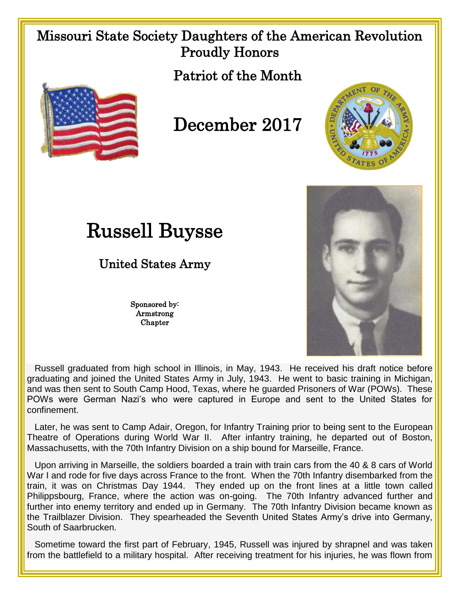## Missouri State Society Daughters of the American Revolution Proudly Honors

Patriot of the Month



## December 2017



## Russell Buysse

United States Army

Sponsored by: Armstrong Chapter



 Russell graduated from high school in Illinois, in May, 1943. He received his draft notice before graduating and joined the United States Army in July, 1943. He went to basic training in Michigan, and was then sent to South Camp Hood, Texas, where he guarded Prisoners of War (POWs). These POWs were German Nazi's who were captured in Europe and sent to the United States for confinement.

 Later, he was sent to Camp Adair, Oregon, for Infantry Training prior to being sent to the European Theatre of Operations during World War II. After infantry training, he departed out of Boston, Massachusetts, with the 70th Infantry Division on a ship bound for Marseille, France.

 Upon arriving in Marseille, the soldiers boarded a train with train cars from the 40 & 8 cars of World War I and rode for five days across France to the front. When the 70th Infantry disembarked from the train, it was on Christmas Day 1944. They ended up on the front lines at a little town called Philippsbourg, France, where the action was on-going. The 70th Infantry advanced further and further into enemy territory and ended up in Germany. The 70th Infantry Division became known as the Trailblazer Division. They spearheaded the Seventh United States Army's drive into Germany, South of Saarbrucken.

 Sometime toward the first part of February, 1945, Russell was injured by shrapnel and was taken from the battlefield to a military hospital. After receiving treatment for his injuries, he was flown from